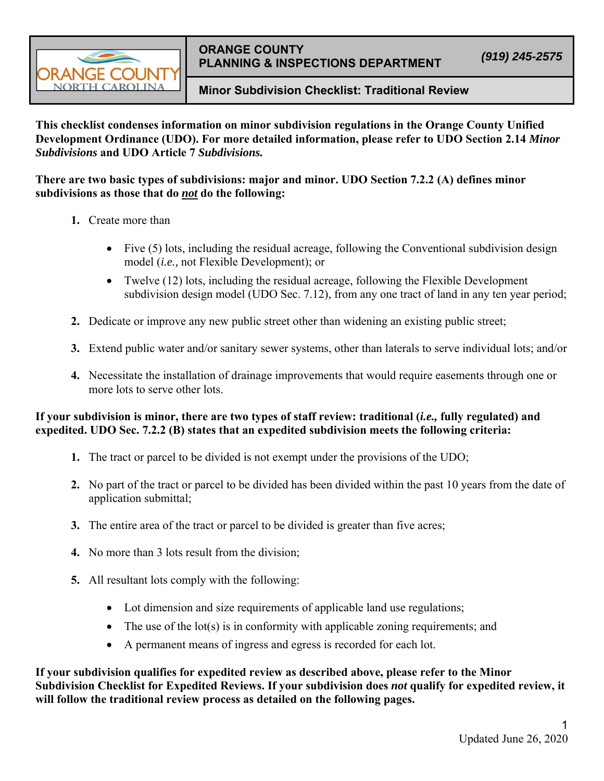

## **ORANGE COUNTY PLANNING & INSPECTIONS DEPARTMENT** *(919) 245-2575*

## **Minor Subdivision Checklist: Traditional Review**

**This checklist condenses information on minor subdivision regulations in the Orange County Unified Development Ordinance (UDO). For more detailed information, please refer to UDO Section 2.14** *Minor Subdivisions* **and UDO Article 7** *Subdivisions.*

**There are two basic types of subdivisions: major and minor. UDO Section 7.2.2 (A) defines minor subdivisions as those that do** *not* **do the following:** 

- **1.** Create more than
	- Five (5) lots, including the residual acreage, following the Conventional subdivision design model (*i.e.,* not Flexible Development); or
	- Twelve (12) lots, including the residual acreage, following the Flexible Development subdivision design model (UDO Sec. 7.12), from any one tract of land in any ten year period;
- **2.** Dedicate or improve any new public street other than widening an existing public street;
- **3.** Extend public water and/or sanitary sewer systems, other than laterals to serve individual lots; and/or
- **4.** Necessitate the installation of drainage improvements that would require easements through one or more lots to serve other lots.

## **If your subdivision is minor, there are two types of staff review: traditional (***i.e.,* **fully regulated) and expedited. UDO Sec. 7.2.2 (B) states that an expedited subdivision meets the following criteria:**

- **1.** The tract or parcel to be divided is not exempt under the provisions of the UDO;
- **2.** No part of the tract or parcel to be divided has been divided within the past 10 years from the date of application submittal;
- **3.** The entire area of the tract or parcel to be divided is greater than five acres;
- **4.** No more than 3 lots result from the division;
- **5.** All resultant lots comply with the following:
	- Lot dimension and size requirements of applicable land use regulations;
	- $\bullet$  The use of the lot(s) is in conformity with applicable zoning requirements; and
	- A permanent means of ingress and egress is recorded for each lot.

**If your subdivision qualifies for expedited review as described above, please refer to the Minor Subdivision Checklist for Expedited Reviews. If your subdivision does** *not* **qualify for expedited review, it will follow the traditional review process as detailed on the following pages.**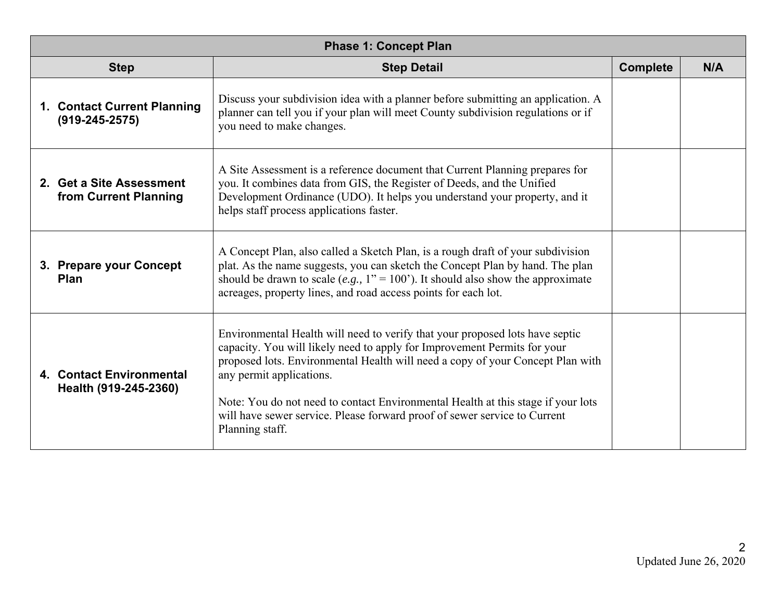| <b>Phase 1: Concept Plan</b>                        |                                                                                                                                                                                                                                                                                                                                                                                                                                                            |                 |     |  |
|-----------------------------------------------------|------------------------------------------------------------------------------------------------------------------------------------------------------------------------------------------------------------------------------------------------------------------------------------------------------------------------------------------------------------------------------------------------------------------------------------------------------------|-----------------|-----|--|
| <b>Step</b>                                         | <b>Step Detail</b>                                                                                                                                                                                                                                                                                                                                                                                                                                         | <b>Complete</b> | N/A |  |
| 1. Contact Current Planning<br>$(919 - 245 - 2575)$ | Discuss your subdivision idea with a planner before submitting an application. A<br>planner can tell you if your plan will meet County subdivision regulations or if<br>you need to make changes.                                                                                                                                                                                                                                                          |                 |     |  |
| 2. Get a Site Assessment<br>from Current Planning   | A Site Assessment is a reference document that Current Planning prepares for<br>you. It combines data from GIS, the Register of Deeds, and the Unified<br>Development Ordinance (UDO). It helps you understand your property, and it<br>helps staff process applications faster.                                                                                                                                                                           |                 |     |  |
| 3. Prepare your Concept<br><b>Plan</b>              | A Concept Plan, also called a Sketch Plan, is a rough draft of your subdivision<br>plat. As the name suggests, you can sketch the Concept Plan by hand. The plan<br>should be drawn to scale (e.g., $1'' = 100'$ ). It should also show the approximate<br>acreages, property lines, and road access points for each lot.                                                                                                                                  |                 |     |  |
| 4. Contact Environmental<br>Health (919-245-2360)   | Environmental Health will need to verify that your proposed lots have septic<br>capacity. You will likely need to apply for Improvement Permits for your<br>proposed lots. Environmental Health will need a copy of your Concept Plan with<br>any permit applications.<br>Note: You do not need to contact Environmental Health at this stage if your lots<br>will have sewer service. Please forward proof of sewer service to Current<br>Planning staff. |                 |     |  |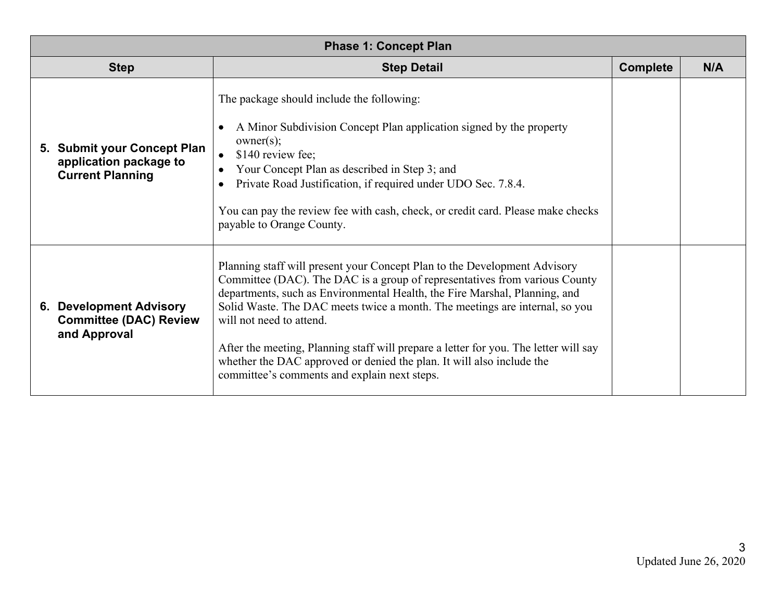| <b>Phase 1: Concept Plan</b>                                                     |                                                                                                                                                                                                                                                                                                                                                                                                                                                                                                                                                                   |                 |     |  |  |
|----------------------------------------------------------------------------------|-------------------------------------------------------------------------------------------------------------------------------------------------------------------------------------------------------------------------------------------------------------------------------------------------------------------------------------------------------------------------------------------------------------------------------------------------------------------------------------------------------------------------------------------------------------------|-----------------|-----|--|--|
| <b>Step</b>                                                                      | <b>Step Detail</b>                                                                                                                                                                                                                                                                                                                                                                                                                                                                                                                                                | <b>Complete</b> | N/A |  |  |
| 5. Submit your Concept Plan<br>application package to<br><b>Current Planning</b> | The package should include the following:<br>A Minor Subdivision Concept Plan application signed by the property<br>owner(s);<br>\$140 review fee;<br>Your Concept Plan as described in Step 3; and<br>Private Road Justification, if required under UDO Sec. 7.8.4.<br>You can pay the review fee with cash, check, or credit card. Please make checks<br>payable to Orange County.                                                                                                                                                                              |                 |     |  |  |
| <b>6. Development Advisory</b><br><b>Committee (DAC) Review</b><br>and Approval  | Planning staff will present your Concept Plan to the Development Advisory<br>Committee (DAC). The DAC is a group of representatives from various County<br>departments, such as Environmental Health, the Fire Marshal, Planning, and<br>Solid Waste. The DAC meets twice a month. The meetings are internal, so you<br>will not need to attend.<br>After the meeting, Planning staff will prepare a letter for you. The letter will say<br>whether the DAC approved or denied the plan. It will also include the<br>committee's comments and explain next steps. |                 |     |  |  |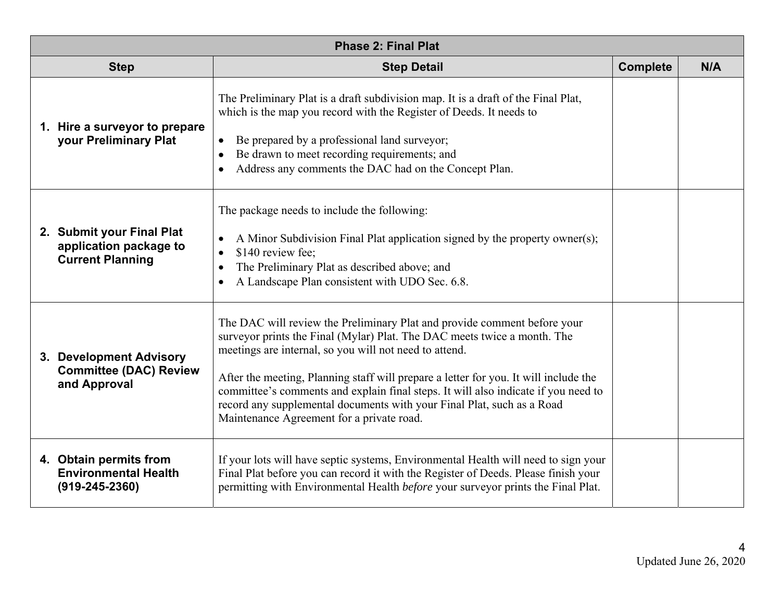| <b>Phase 2: Final Plat</b>                                                     |                                                                                                                                                                                                                                                                                                                                                                                                                                                                                                                     |                 |     |  |
|--------------------------------------------------------------------------------|---------------------------------------------------------------------------------------------------------------------------------------------------------------------------------------------------------------------------------------------------------------------------------------------------------------------------------------------------------------------------------------------------------------------------------------------------------------------------------------------------------------------|-----------------|-----|--|
| <b>Step</b>                                                                    | <b>Step Detail</b>                                                                                                                                                                                                                                                                                                                                                                                                                                                                                                  | <b>Complete</b> | N/A |  |
| 1. Hire a surveyor to prepare<br>your Preliminary Plat                         | The Preliminary Plat is a draft subdivision map. It is a draft of the Final Plat,<br>which is the map you record with the Register of Deeds. It needs to<br>Be prepared by a professional land surveyor;<br>$\bullet$<br>Be drawn to meet recording requirements; and<br>Address any comments the DAC had on the Concept Plan.                                                                                                                                                                                      |                 |     |  |
| 2. Submit your Final Plat<br>application package to<br><b>Current Planning</b> | The package needs to include the following:<br>A Minor Subdivision Final Plat application signed by the property owner(s);<br>\$140 review fee;<br>$\bullet$<br>The Preliminary Plat as described above; and<br>A Landscape Plan consistent with UDO Sec. 6.8.                                                                                                                                                                                                                                                      |                 |     |  |
| 3. Development Advisory<br><b>Committee (DAC) Review</b><br>and Approval       | The DAC will review the Preliminary Plat and provide comment before your<br>surveyor prints the Final (Mylar) Plat. The DAC meets twice a month. The<br>meetings are internal, so you will not need to attend.<br>After the meeting, Planning staff will prepare a letter for you. It will include the<br>committee's comments and explain final steps. It will also indicate if you need to<br>record any supplemental documents with your Final Plat, such as a Road<br>Maintenance Agreement for a private road. |                 |     |  |
| 4. Obtain permits from<br><b>Environmental Health</b><br>$(919 - 245 - 2360)$  | If your lots will have septic systems, Environmental Health will need to sign your<br>Final Plat before you can record it with the Register of Deeds. Please finish your<br>permitting with Environmental Health before your surveyor prints the Final Plat.                                                                                                                                                                                                                                                        |                 |     |  |